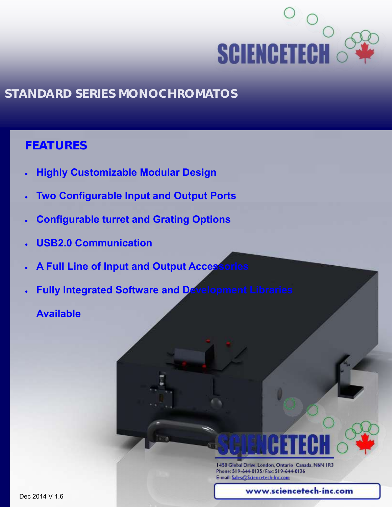

### **FEATURES**

- **Highly Customizable Modular Design**
- **Two Configurable Input and Output Ports**
- **Configurable turret and Grating Options**
- **USB2.0 Communication**
- **A Full Line of Input and Output Accessories**
- **Fully Integrated Software and Development Libraries**

**Available**

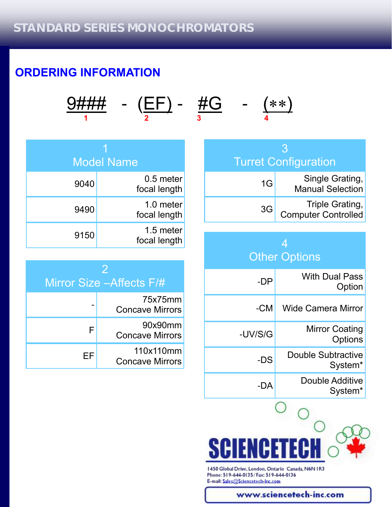# **ORDERING INFORMATION**

$$
\frac{9\# \# \#}{1} \quad - \quad \left(\frac{EF}{2}\right) \quad - \quad \frac{\# G}{3} \quad - \quad \left(\frac{***}{4}\right)
$$

|      | Model Name                  |
|------|-----------------------------|
| 9040 | $0.5$ meter<br>focal length |
| 9490 | 1.0 meter<br>focal length   |
| 9150 | 1.5 meter<br>focal length   |

| 2<br>Mirror Size – Affects F/# |                                     |  |
|--------------------------------|-------------------------------------|--|
|                                | 75x75mm<br><b>Concave Mirrors</b>   |  |
| F                              | 90x90mm<br><b>Concave Mirrors</b>   |  |
| ⊢⊢                             | 110x110mm<br><b>Concave Mirrors</b> |  |

| 13<br><b>Turret Configuration</b> |                                            |  |  |
|-----------------------------------|--------------------------------------------|--|--|
| 1G                                | Single Grating,<br><b>Manual Selection</b> |  |  |
| 3G                                | Triple Grating,<br>Computer Controlled     |  |  |

### 4 **Other Options**

| -DP     | <b>With Dual Pass</b><br>Option           |
|---------|-------------------------------------------|
| -CM     | Wide Camera Mirror                        |
| -UV/S/G | <b>Mirror Coating</b><br>Options          |
| -DS     | Double Subtractive<br>System <sup>*</sup> |
| -DA     | Double Additive<br>System <sup>*</sup>    |



1450 Global Drive, London, Ontario Canada, N6N IR3 Phone: 519-644-0135/Fax: 519-644-0136 E-mail: Sales@Sciencetech-Inc.com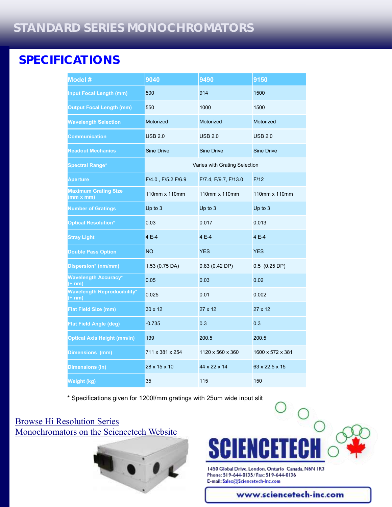## **SPECIFICATIONS**

| Model #                                                    | 9040               | 9490                          | 9150              |
|------------------------------------------------------------|--------------------|-------------------------------|-------------------|
| <b>Input Focal Length (mm)</b>                             | 500                | 914                           | 1500              |
| <b>Output Focal Length (mm)</b>                            | 550                | 1000                          | 1500              |
| <b>Wavelength Selection</b>                                | Motorized          | Motorized                     | Motorized         |
| <b>Communication</b>                                       | <b>USB 2.0</b>     | <b>USB 2.0</b>                | <b>USB 2.0</b>    |
| <b>Readout Mechanics</b>                                   | <b>Sine Drive</b>  | <b>Sine Drive</b>             | <b>Sine Drive</b> |
| <b>Spectral Range*</b>                                     |                    | Varies with Grating Selection |                   |
| <b>Aperture</b>                                            | F/4.0, F/5.2 F/6.9 | F/7.4, F/9.7, F/13.0          | F/12              |
| <b>Maximum Grating Size</b><br>(mm x mm)                   | 110mm x 110mm      | 110mm x 110mm                 | 110mm x 110mm     |
| <b>Number of Gratings</b>                                  | Up to 3            | Up to 3                       | Up to 3           |
| <b>Optical Resolution*</b>                                 | 0.03               | 0.017                         | 0.013             |
| <b>Stray Light</b>                                         | 4 E-4              | 4 E-4                         | 4 E-4             |
| <b>Double Pass Option</b>                                  | <b>NO</b>          | <b>YES</b>                    | <b>YES</b>        |
| Dispersion* (nm/mm)                                        | 1.53 (0.75 DA)     | 0.83(0.42 DP)                 | $0.5$ (0.25 DP)   |
| <b>Wavelength Accuracy*</b><br>$\overline{(+ \text{ nm})}$ | 0.05               | 0.03                          | 0.02              |
| <b>Wavelength Reproducibility*</b><br>$(+ nm)$             | 0.025              | 0.01                          | 0.002             |
| <b>Flat Field Size (mm)</b>                                | $30 \times 12$     | $27 \times 12$                | $27 \times 12$    |
| Flat Field Angle (deg)                                     | $-0.735$           | 0.3                           | 0.3               |
| <b>Optical Axis Height (mm/in)</b>                         | 139                | 200.5                         | 200.5             |
| Dimensions (mm)                                            | 711 x 381 x 254    | 1120 x 560 x 360              | 1600 x 572 x 381  |
| <b>Dimensions (in)</b>                                     | 28 x 15 x 10       | 44 x 22 x 14                  | 63 x 22.5 x 15    |
| Weight (kg)                                                | 35                 | 115                           | 150               |

\* Specifications given for 1200l/mm gratings with 25um wide input slit

### [Browse Hi Resolution Series](http://sciencetech-inc.com/all-products/modular-spectroscopy/monochromators-spectrographs/high-resolution-series.html)  [Monochromators on](http://sciencetech-inc.com/all-products/modular-spectroscopy/monochromators-spectrographs/high-resolution-series.html) [the Sciencetech Website](http://sciencetech-inc.com/all-products/modular-spectroscopy/monochromators-spectrographs/standard-series.html)





1450 Global Drive, London, Ontario Canada, N6N IR3 Phone: 519-644-0135/Fax: 519-644-0136 E-mail: Sales@Sciencetech-Inc.com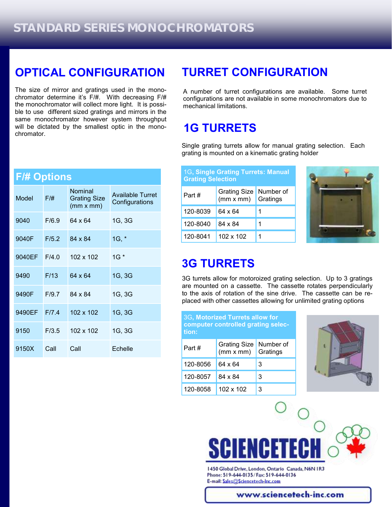### **OPTICAL CONFIGURATION**

The size of mirror and gratings used in the monochromator determine it's F/#. With decreasing F/# the monochromator will collect more light. It is possible to use different sized gratings and mirrors in the same monochromator however system throughput will be dictated by the smallest optic in the monochromator.

| <b>F/# Options</b> |       |                                             |                                           |
|--------------------|-------|---------------------------------------------|-------------------------------------------|
| Model              | F/H   | Nominal<br><b>Grating Size</b><br>(mm x mm) | <b>Available Turret</b><br>Configurations |
| 9040               | F/6.9 | 64 x 64                                     | 1G, 3G                                    |
| 9040F              | F/5.2 | 84 x 84                                     | $1G, *$                                   |
| 9040EF             | F/4.0 | $102 \times 102$                            | $1G^*$                                    |
| 9490               | F/13  | 64 x 64                                     | 1G, 3G                                    |
| 9490F              | F/9.7 | 84 x 84                                     | 1G, 3G                                    |
| 9490EF             | F/7.4 | $102 \times 102$                            | 1G, 3G                                    |
| 9150               | F/3.5 | 102 x 102                                   | 1G, 3G                                    |
| 9150X              | Call  | Call                                        | Echelle                                   |

### **TURRET CONFIGURATION**

A number of turret configurations are available. Some turret configurations are not available in some monochromators due to mechanical limitations.

### **1G TURRETS**

Single grating turrets allow for manual grating selection. Each grating is mounted on a kinematic grating holder

| 1G, Single Grating Turrets: Manual<br><b>Grating Selection</b> |                                  |                       |  |
|----------------------------------------------------------------|----------------------------------|-----------------------|--|
| Part#                                                          | <b>Grating Size</b><br>(mm x mm) | Number of<br>Gratings |  |
| 120-8039                                                       | 64 x 64                          |                       |  |
| 120-8040                                                       | 84 x 84                          | 1                     |  |
| 120-8041                                                       | $102 \times 102$                 |                       |  |



### **3G TURRETS**

3G turrets allow for motoroized grating selection. Up to 3 gratings are mounted on a cassette. The cassette rotates perpendicularly to the axis of rotation of the sine drive. The cassette can be replaced with other cassettes allowing for unlimited grating options

3G**, Motorized Turrets allow for computer controlled grating selection:**

| Part#    | <b>Grating Size</b><br>(mm x mm) | Number of<br>Gratings |
|----------|----------------------------------|-----------------------|
| 120-8056 | 64 x 64                          | 3                     |
| 120-8057 | 84 x 84                          | 3                     |
| 120-8058 | $102 \times 102$                 | 3                     |





1450 Global Drive, London, Ontario Canada, N6N IR3 Phone: 519-644-0135/Fax: 519-644-0136 E-mail: Sales@Sciencetech-Inc.com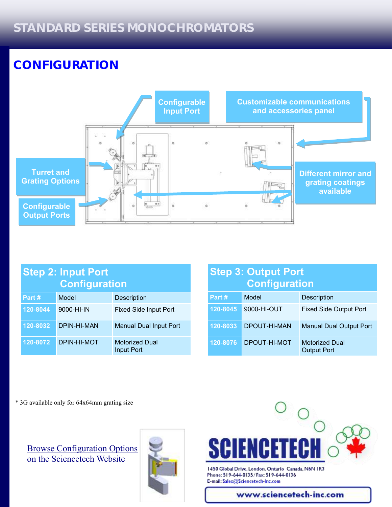# **CONFIGURATION**



| <b>Step 2: Input Port</b><br><b>Configuration</b> |             |                                            |  |
|---------------------------------------------------|-------------|--------------------------------------------|--|
| Part #                                            | Model       | Description                                |  |
| 120-8044                                          | 9000-HI-IN  | <b>Fixed Side Input Port</b>               |  |
| 120-8032                                          | DPIN-HI-MAN | <b>Manual Dual Input Port</b>              |  |
| 120-8072                                          | DPIN-HI-MOT | <b>Motorized Dual</b><br><b>Input Port</b> |  |

### **Step 3: Output Port Configuration**

| Part #   | Model        | <b>Description</b>                          |
|----------|--------------|---------------------------------------------|
| 120-8045 | 9000-HI-OUT  | <b>Fixed Side Output Port</b>               |
| 120-8033 | DPOUT-HI-MAN | <b>Manual Dual Output Port</b>              |
| 120-8076 | DPOUT-HI-MOT | <b>Motorized Dual</b><br><b>Output Port</b> |

\* 3G available only for 64x64mm grating size

[Browse Configuration Options](http://sciencetech-inc.com/all-products/modular-spectroscopy/monochromators-spectrographs.html?cat=89)  [on the Sciencetech Website](http://sciencetech-inc.com/all-products/modular-spectroscopy/monochromators-spectrographs.html?cat=89)





1450 Global Drive, London, Ontario Canada, N6N IR3 Phone: 519-644-0135/Fax: 519-644-0136 E-mail: Sales@Sciencetech-Inc.com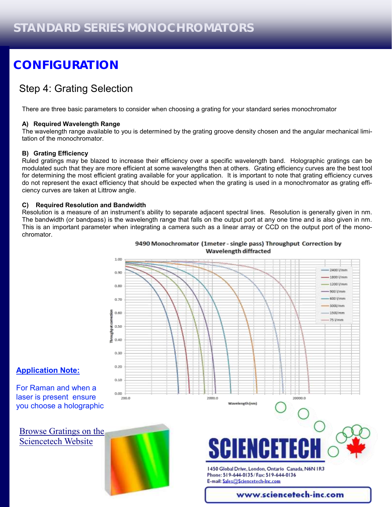# **CONFIGURATION**

### Step 4: Grating Selection

There are three basic parameters to consider when choosing a grating for your standard series monochromator

#### **A) Required Wavelength Range**

The wavelength range available to you is determined by the grating groove density chosen and the angular mechanical limitation of the monochromator.

#### **B) Grating Efficiency**

Ruled gratings may be blazed to increase their efficiency over a specific wavelength band. Holographic gratings can be modulated such that they are more efficient at some wavelengths then at others. Grating efficiency curves are the best tool for determining the most efficient grating available for your application. It is important to note that grating efficiency curves do not represent the exact efficiency that should be expected when the grating is used in a monochromator as grating efficiency curves are taken at Littrow angle.

#### **C) Required Resolution and Bandwidth**

Resolution is a measure of an instrument's ability to separate adjacent spectral lines. Resolution is generally given in nm. The bandwidth (or bandpass) is the wavelength range that falls on the output port at any one time and is also given in nm. This is an important parameter when integrating a camera such as a linear array or CCD on the output port of the monochromator.



#### 9490 Monochromator (1meter - single pass) Throughput Correction by Wavelength diffracted

#### **Application Note:**

For Raman and when a laser is present ensure you choose a holographic

[Browse Gratings on the](http://sciencetech-inc.com/all-products/modular-spectroscopy/gratings-modular.html)  [Sciencetech Website](http://sciencetech-inc.com/all-products/modular-spectroscopy/gratings-modular.html)

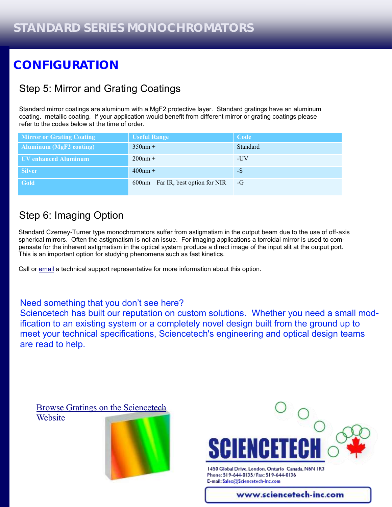# **CONFIGURATION**

### Step 5: Mirror and Grating Coatings

Standard mirror coatings are aluminum with a MgF2 protective layer. Standard gratings have an aluminum coating. metallic coating. If your application would benefit from different mirror or grating coatings please refer to the codes below at the time of order.

| <b>Mirror or Grating Coating</b> | <b>Useful Range</b>                    | Code     |
|----------------------------------|----------------------------------------|----------|
| <b>Aluminum (MgF2 coating)</b>   | $350nm +$                              | Standard |
| UV enhanced Aluminum             | $200nm +$                              | -UV      |
| <b>Silver</b>                    | $400$ nm +                             | $-S$     |
| <b>Gold</b>                      | $600$ nm – Far IR, best option for NIR | $-G$     |

### Step 6: Imaging Option

Standard Czerney-Turner type monochromators suffer from astigmatism in the output beam due to the use of off-axis spherical mirrors. Often the astigmatism is not an issue. For imaging applications a torroidal mirror is used to compensate for the inherent astigmatism in the optical system produce a direct image of the input slit at the output port. This is an important option for studying phenomena such as fast kinetics.

Call or [email](mailto:sales@sciencetech-inc.com) a technical support representative for more information about this option.

#### Need something that you don't see here?

Sciencetech has built our reputation on custom solutions. Whether you need a small modification to an existing system or a completely novel design built from the ground up to meet your technical specifications, Sciencetech's engineering and optical design teams are read to help.

[Browse Gratings on the Sciencetech](http://sciencetech-inc.com/all-products/modular-spectroscopy/gratings-modular.html)  **[Website](http://sciencetech-inc.com/all-products/modular-spectroscopy/gratings-modular.html)** 





1450 Global Drive, London, Ontario Canada, N6N IR3 Phone: 519-644-0135/Fax: 519-644-0136 E-mail: Sales@Sciencetech-Inc.com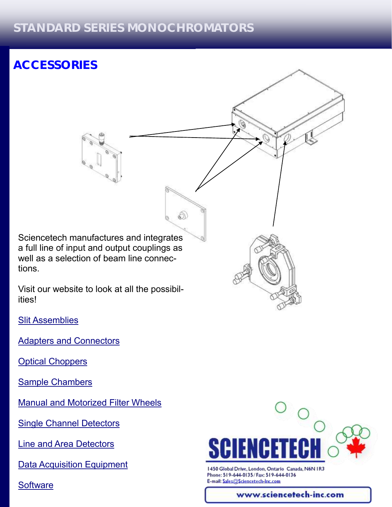ଈ

# **ACCESSORIES**

Sciencetech manufactures and integrates a full line of input and output couplings as well as a selection of beam line connections.

G)

Visit our website to look at all the possibilities!

[Slit Assemblies](http://sciencetech-inc.com/all-products/modular-spectroscopy/opto-mechanical/slit-assemblies.html)

[Adapters and Connectors](http://sciencetech-inc.com/all-products/modular-spectroscopy/opto-mechanical/adapters-and-connectors.html)

[Optical Choppers](http://sciencetech-inc.com/all-products/modular-spectroscopy/opto-mechanical/optical-choppers.html)

[Sample Chambers](http://sciencetech-inc.com/all-products/modular-spectroscopy/sample-chambers.html)

[Manual and Motorized Filter Wheels](http://sciencetech-inc.com/all-products/modular-spectroscopy/opto-mechanical/filter-wheels.html)

[Single Channel Detectors](http://sciencetech-inc.com/all-products/modular-spectroscopy/single-channel-detectors.html)

[Line and Area Detectors](http://sciencetech-inc.com/all-products/modular-spectroscopy/line-detectors.html)

[Data Acquisition Equipment](http://sciencetech-inc.com/all-products/modular-spectroscopy/data-acquisition-equipment.html)

**[Software](http://sciencetech-inc.com/all-products/modular-spectroscopy/software.html)** 



1450 Global Drive, London, Ontario Canada, N6N IR3 Phone: 519-644-0135/Fax: 519-644-0136 E-mail: Sales@Sciencetech-Inc.com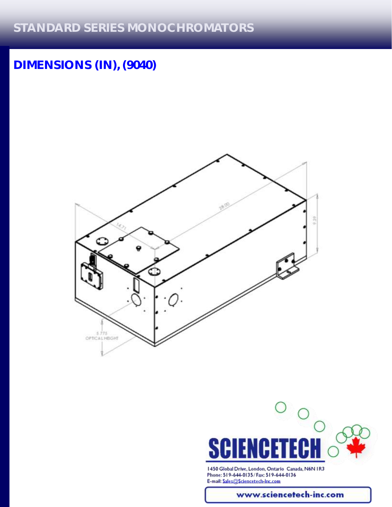# **DIMENSIONS (IN), (9040)**





1450 Global Drive, London, Ontario Canada, N6N IR3 Phone: 519-644-0135/Fax: 519-644-0136 E-mail: Sales@Sciencetech-Inc.com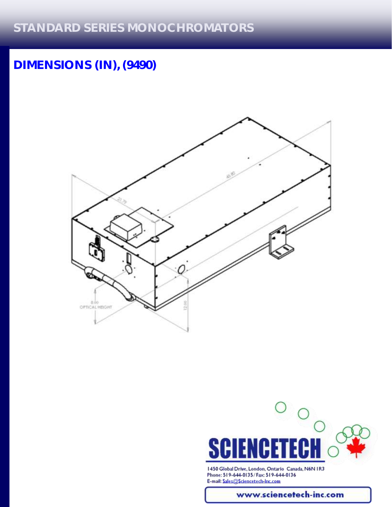# **DIMENSIONS (IN), (9490)**





1450 Global Drive, London, Ontario Canada, N6N IR3 Phone: 519-644-0135/Fax: 519-644-0136 E-mail: Sales@Sciencetech-Inc.com